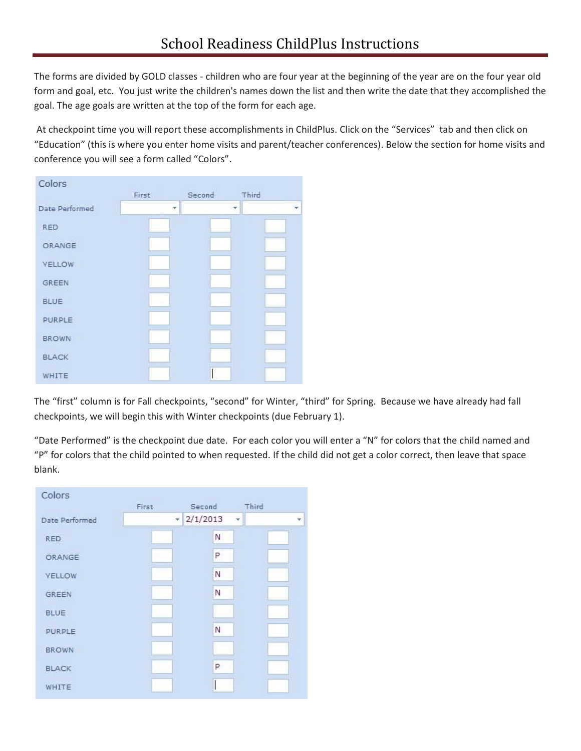The forms are divided by GOLD classes - children who are four year at the beginning of the year are on the four year old form and goal, etc. You just write the children's names down the list and then write the date that they accomplished the goal. The age goals are written at the top of the form for each age.

At checkpoint time you will report these accomplishments in ChildPlus. Click on the "Services" tab and then click on "Education" (this is where you enter home visits and parent/teacher conferences). Below the section for home visits and conference you will see a form called "Colors".

| Colors         |       |        |       |
|----------------|-------|--------|-------|
|                | First | Second | Third |
| Date Performed |       |        |       |
| <b>RED</b>     |       |        |       |
| ORANGE         |       |        |       |
| <b>YELLOW</b>  |       |        |       |
| GREEN          |       |        |       |
| <b>BLUE</b>    |       |        |       |
| PURPLE         |       |        |       |
| <b>BROWN</b>   |       |        |       |
| <b>BLACK</b>   |       |        |       |
| WHITE          |       |        |       |

The "first" column is for Fall checkpoints, "second" for Winter, "third" for Spring. Because we have already had fall checkpoints, we will begin this with Winter checkpoints (due February 1).

"Date Performed" is the checkpoint due date. For each color you will enter a "N" for colors that the child named and "P" for colors that the child pointed to when requested. If the child did not get a color correct, then leave that space blank.

| Colors         |       |               |   |       |  |
|----------------|-------|---------------|---|-------|--|
|                | First | Second        |   | Third |  |
| Date Performed |       | 2/1/2013<br>÷ |   |       |  |
| <b>RED</b>     |       |               | N |       |  |
| ORANGE         |       |               | p |       |  |
| <b>YELLOW</b>  |       |               | N |       |  |
| <b>GREEN</b>   |       |               | N |       |  |
| <b>BLUE</b>    |       |               |   |       |  |
| PURPLE         |       |               | N |       |  |
| <b>BROWN</b>   |       |               |   |       |  |
| <b>BLACK</b>   |       |               | P |       |  |
| WHITE          |       |               |   |       |  |